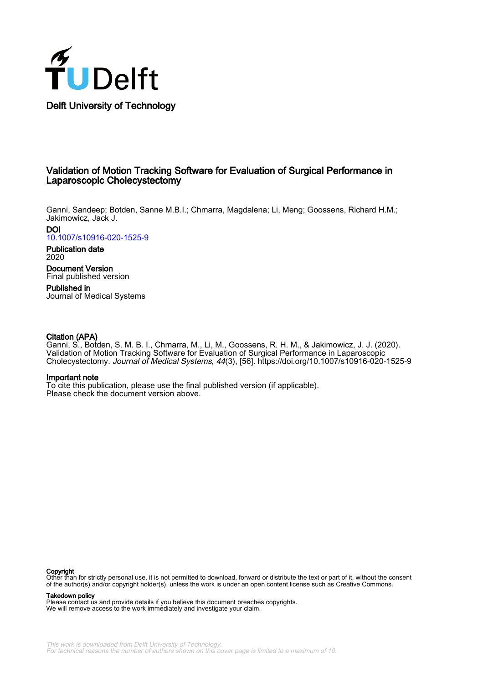

# Validation of Motion Tracking Software for Evaluation of Surgical Performance in Laparoscopic Cholecystectomy

Ganni, Sandeep; Botden, Sanne M.B.I.; Chmarra, Magdalena; Li, Meng; Goossens, Richard H.M.; Jakimowicz, Jack J.

DOI [10.1007/s10916-020-1525-9](https://doi.org/10.1007/s10916-020-1525-9)

Publication date 2020

Document Version Final published version Published in

Journal of Medical Systems

# Citation (APA)

Ganni, S., Botden, S. M. B. I., Chmarra, M., Li, M., Goossens, R. H. M., & Jakimowicz, J. J. (2020). Validation of Motion Tracking Software for Evaluation of Surgical Performance in Laparoscopic Cholecystectomy. Journal of Medical Systems, 44(3), [56].<https://doi.org/10.1007/s10916-020-1525-9>

# Important note

To cite this publication, please use the final published version (if applicable). Please check the document version above.

**Copyright**<br>Other than for strictly personal use, it is not permitted to download, forward or distribute the text or part of it, without the consent of the author(s) and/or copyright holder(s), unless the work is under an open content license such as Creative Commons.

Takedown policy

Please contact us and provide details if you believe this document breaches copyrights. We will remove access to the work immediately and investigate your claim.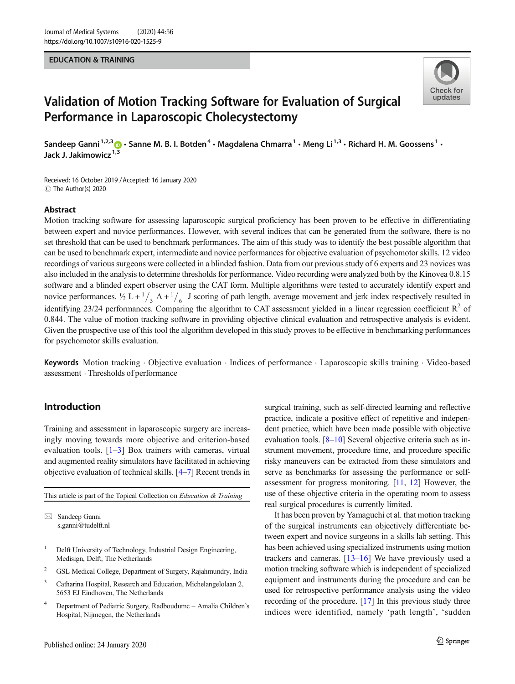#### EDUCATION & TRAINING



# Validation of Motion Tracking Software for Evaluation of Surgical Performance in Laparoscopic Cholecystectomy

Sandeep Ganni<sup>1,2,3</sup>  $\odot$  · Sanne M. B. I. Botden<sup>4</sup> · Magdalena Chmarra<sup>1</sup> · Meng Li<sup>1,3</sup> · Richard H. M. Goossens<sup>1</sup> · Jack J. Jakimowicz $1,3$ 

Received: 16 October 2019 /Accepted: 16 January 2020 C The Author(s) 2020

#### Abstract

Motion tracking software for assessing laparoscopic surgical proficiency has been proven to be effective in differentiating between expert and novice performances. However, with several indices that can be generated from the software, there is no set threshold that can be used to benchmark performances. The aim of this study was to identify the best possible algorithm that can be used to benchmark expert, intermediate and novice performances for objective evaluation of psychomotor skills. 12 video recordings of various surgeons were collected in a blinded fashion. Data from our previous study of 6 experts and 23 novices was also included in the analysis to determine thresholds for performance. Video recording were analyzed both by the Kinovea 0.8.15 software and a blinded expert observer using the CAT form. Multiple algorithms were tested to accurately identify expert and novice performances.  $\frac{1}{2} L + \frac{1}{3} A + \frac{1}{6} J$  scoring of path length, average movement and jerk index respectively resulted in identifying 23/24 performances. Comparing the algorithm to CAT assessment yielded in a linear regression coefficient  $R^2$  of 0.844. The value of motion tracking software in providing objective clinical evaluation and retrospective analysis is evident. Given the prospective use of this tool the algorithm developed in this study proves to be effective in benchmarking performances for psychomotor skills evaluation.

Keywords Motion tracking . Objective evaluation . Indices of performance . Laparoscopic skills training . Video-based assessment . Thresholds of performance

# Introduction

Training and assessment in laparoscopic surgery are increasingly moving towards more objective and criterion-based evaluation tools.  $[1-3]$  $[1-3]$  $[1-3]$  $[1-3]$  Box trainers with cameras, virtual and augmented reality simulators have facilitated in achieving objective evaluation of technical skills. [\[4](#page-5-0)–[7](#page-5-0)] Recent trends in

This article is part of the Topical Collection on Education & Training

 $\boxtimes$  Sandeep Ganni [s.ganni@tudelft.nl](mailto:s.ganni@tudelft.nl)

- <sup>1</sup> Delft University of Technology, Industrial Design Engineering, Medisign, Delft, The Netherlands
- <sup>2</sup> GSL Medical College, Department of Surgery, Rajahmundry, India
- <sup>3</sup> Catharina Hospital, Research and Education, Michelangelolaan 2, 5653 EJ Eindhoven, The Netherlands
- <sup>4</sup> Department of Pediatric Surgery, Radboudumc Amalia Children's Hospital, Nijmegen, the Netherlands

surgical training, such as self-directed learning and reflective practice, indicate a positive effect of repetitive and independent practice, which have been made possible with objective evaluation tools. [\[8](#page-5-0)–[10](#page-5-0)] Several objective criteria such as instrument movement, procedure time, and procedure specific risky maneuvers can be extracted from these simulators and serve as benchmarks for assessing the performance or selfassessment for progress monitoring. [[11](#page-5-0), [12\]](#page-5-0) However, the use of these objective criteria in the operating room to assess real surgical procedures is currently limited.

It has been proven by Yamaguchi et al. that motion tracking of the surgical instruments can objectively differentiate between expert and novice surgeons in a skills lab setting. This has been achieved using specialized instruments using motion trackers and cameras. [[13](#page-5-0)–[16\]](#page-5-0) We have previously used a motion tracking software which is independent of specialized equipment and instruments during the procedure and can be used for retrospective performance analysis using the video recording of the procedure. [[17\]](#page-5-0) In this previous study three indices were identified, namely 'path length', 'sudden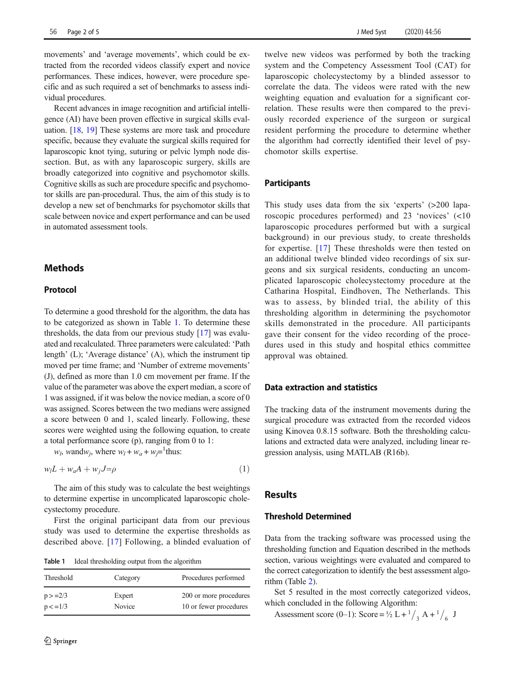<span id="page-2-0"></span>movements' and 'average movements', which could be extracted from the recorded videos classify expert and novice performances. These indices, however, were procedure specific and as such required a set of benchmarks to assess individual procedures.

Recent advances in image recognition and artificial intelligence (AI) have been proven effective in surgical skills evaluation. [\[18,](#page-5-0) [19](#page-5-0)] These systems are more task and procedure specific, because they evaluate the surgical skills required for laparoscopic knot tying, suturing or pelvic lymph node dissection. But, as with any laparoscopic surgery, skills are broadly categorized into cognitive and psychomotor skills. Cognitive skills as such are procedure specific and psychomotor skills are pan-procedural. Thus, the aim of this study is to develop a new set of benchmarks for psychomotor skills that scale between novice and expert performance and can be used in automated assessment tools.

# **Methods**

#### Protocol

To determine a good threshold for the algorithm, the data has to be categorized as shown in Table 1. To determine these thresholds, the data from our previous study [\[17\]](#page-5-0) was evaluated and recalculated. Three parameters were calculated: 'Path length' (L); 'Average distance' (A), which the instrument tip moved per time frame; and 'Number of extreme movements' (J), defined as more than 1.0 cm movement per frame. If the value of the parameter was above the expert median, a score of 1 was assigned, if it was below the novice median, a score of 0 was assigned. Scores between the two medians were assigned a score between 0 and 1, scaled linearly. Following, these scores were weighted using the following equation, to create a total performance score (p), ranging from 0 to 1:

 $w_l$ , wand $w_j$ , where  $w_l + w_a + w_j =$ <sup>1</sup>thus:

$$
w_l L + w_a A + w_j J = \rho \tag{1}
$$

The aim of this study was to calculate the best weightings to determine expertise in uncomplicated laparoscopic cholecystectomy procedure.

First the original participant data from our previous study was used to determine the expertise thresholds as described above. [\[17\]](#page-5-0) Following, a blinded evaluation of

Table 1 Ideal thresholding output from the algorithm

| Threshold    | Category | Procedures performed   |
|--------------|----------|------------------------|
| $p > = 2/3$  | Expert   | 200 or more procedures |
| $p \leq 1/3$ | Novice   | 10 or fewer procedures |

twelve new videos was performed by both the tracking system and the Competency Assessment Tool (CAT) for laparoscopic cholecystectomy by a blinded assessor to correlate the data. The videos were rated with the new weighting equation and evaluation for a significant correlation. These results were then compared to the previously recorded experience of the surgeon or surgical resident performing the procedure to determine whether the algorithm had correctly identified their level of psychomotor skills expertise.

# Participants

This study uses data from the six 'experts' (>200 laparoscopic procedures performed) and 23 'novices' (<10 laparoscopic procedures performed but with a surgical background) in our previous study, to create thresholds for expertise. [[17\]](#page-5-0) These thresholds were then tested on an additional twelve blinded video recordings of six surgeons and six surgical residents, conducting an uncomplicated laparoscopic cholecystectomy procedure at the Catharina Hospital, Eindhoven, The Netherlands. This was to assess, by blinded trial, the ability of this thresholding algorithm in determining the psychomotor skills demonstrated in the procedure. All participants gave their consent for the video recording of the procedures used in this study and hospital ethics committee approval was obtained.

## Data extraction and statistics

The tracking data of the instrument movements during the surgical procedure was extracted from the recorded videos using Kinovea 0.8.15 software. Both the thresholding calculations and extracted data were analyzed, including linear regression analysis, using MATLAB (R16b).

# **Results**

### Threshold Determined

Data from the tracking software was processed using the thresholding function and Equation described in the methods section, various weightings were evaluated and compared to the correct categorization to identify the best assessment algorithm (Table [2\)](#page-3-0).

Set 5 resulted in the most correctly categorized videos, which concluded in the following Algorithm:

Assessment score (0–1): Score =  $\frac{1}{2} L + \frac{1}{3} A + \frac{1}{6} J$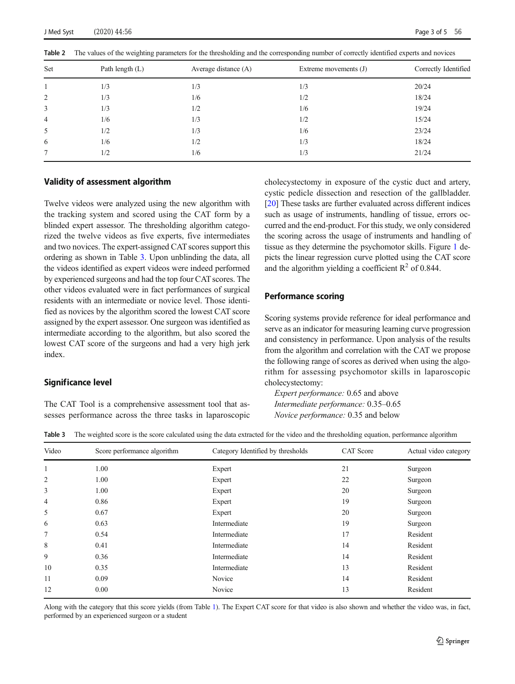| Set            | Path length (L) | Average distance (A) | Extreme movements (J) | Correctly Identified |
|----------------|-----------------|----------------------|-----------------------|----------------------|
|                | 1/3             | 1/3                  | 1/3                   | 20/24                |
| 2              | 1/3             | 1/6                  | 1/2                   | 18/24                |
| 3              | 1/3             | 1/2                  | 1/6                   | 19/24                |
| $\overline{4}$ | 1/6             | 1/3                  | 1/2                   | 15/24                |
| 5              | 1/2             | 1/3                  | 1/6                   | 23/24                |
| 6              | 1/6             | 1/2                  | 1/3                   | 18/24                |
| $\overline{7}$ | 1/2             | 1/6                  | 1/3                   | 21/24                |

<span id="page-3-0"></span>Table 2 The values of the weighting parameters for the thresholding and the corresponding number of correctly identified experts and novices

#### Validity of assessment algorithm

Twelve videos were analyzed using the new algorithm with the tracking system and scored using the CAT form by a blinded expert assessor. The thresholding algorithm categorized the twelve videos as five experts, five intermediates and two novices. The expert-assigned CAT scores support this ordering as shown in Table 3. Upon unblinding the data, all the videos identified as expert videos were indeed performed by experienced surgeons and had the top four CAT scores. The other videos evaluated were in fact performances of surgical residents with an intermediate or novice level. Those identified as novices by the algorithm scored the lowest CAT score assigned by the expert assessor. One surgeon was identified as intermediate according to the algorithm, but also scored the lowest CAT score of the surgeons and had a very high jerk index.

#### Significance level

The CAT Tool is a comprehensive assessment tool that assesses performance across the three tasks in laparoscopic cholecystectomy in exposure of the cystic duct and artery, cystic pedicle dissection and resection of the gallbladder. [\[20](#page-5-0)] These tasks are further evaluated across different indices such as usage of instruments, handling of tissue, errors occurred and the end-product. For this study, we only considered the scoring across the usage of instruments and handling of tissue as they determine the psychomotor skills. Figure [1](#page-4-0) depicts the linear regression curve plotted using the CAT score and the algorithm yielding a coefficient  $R^2$  of 0.844.

#### Performance scoring

Scoring systems provide reference for ideal performance and serve as an indicator for measuring learning curve progression and consistency in performance. Upon analysis of the results from the algorithm and correlation with the CAT we propose the following range of scores as derived when using the algorithm for assessing psychomotor skills in laparoscopic cholecystectomy:

Expert performance: 0.65 and above Intermediate performance: 0.35–0.65 Novice performance: 0.35 and below

| Table 3 The weighted score is the score calculated using the data extracted for the video and the thresholding equation, performance algorithm |  |  |  |
|------------------------------------------------------------------------------------------------------------------------------------------------|--|--|--|
|                                                                                                                                                |  |  |  |

| Video          | Score performance algorithm | Category Identified by thresholds | CAT Score | Actual video category |
|----------------|-----------------------------|-----------------------------------|-----------|-----------------------|
| $\mathbf{1}$   | 1.00                        | Expert                            | 21        | Surgeon               |
| 2              | 1.00                        | Expert                            | 22        | Surgeon               |
| 3              | 1.00                        | Expert                            | 20        | Surgeon               |
| 4              | 0.86                        | Expert                            | 19        | Surgeon               |
| 5              | 0.67                        | Expert                            | 20        | Surgeon               |
| 6              | 0.63                        | Intermediate                      | 19        | Surgeon               |
| $\overline{7}$ | 0.54                        | Intermediate                      | 17        | Resident              |
| 8              | 0.41                        | Intermediate                      | 14        | Resident              |
| 9              | 0.36                        | Intermediate                      | 14        | Resident              |
| 10             | 0.35                        | Intermediate                      | 13        | Resident              |
| 11             | 0.09                        | Novice                            | 14        | Resident              |
| 12             | 0.00                        | Novice                            | 13        | Resident              |

Along with the category that this score yields (from Table [1\)](#page-2-0). The Expert CAT score for that video is also shown and whether the video was, in fact, performed by an experienced surgeon or a student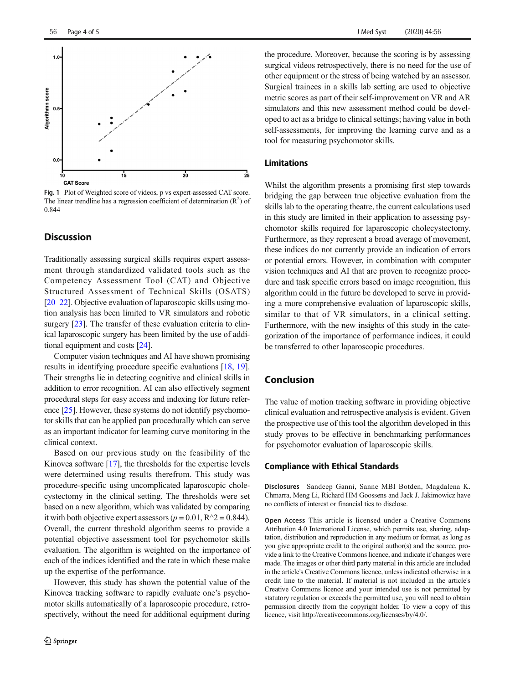<span id="page-4-0"></span>

Fig. 1 Plot of Weighted score of videos, p vs expert-assessed CAT score. The linear trendline has a regression coefficient of determination  $(R^2)$  of 0.844

# **Discussion**

Traditionally assessing surgical skills requires expert assessment through standardized validated tools such as the Competency Assessment Tool (CAT) and Objective Structured Assessment of Technical Skills (OSATS) [\[20](#page-5-0)–[22\]](#page-5-0). Objective evaluation of laparoscopic skills using motion analysis has been limited to VR simulators and robotic surgery [\[23\]](#page-5-0). The transfer of these evaluation criteria to clinical laparoscopic surgery has been limited by the use of additional equipment and costs [\[24\]](#page-5-0).

Computer vision techniques and AI have shown promising results in identifying procedure specific evaluations [[18](#page-5-0), [19\]](#page-5-0). Their strengths lie in detecting cognitive and clinical skills in addition to error recognition. AI can also effectively segment procedural steps for easy access and indexing for future reference [\[25\]](#page-5-0). However, these systems do not identify psychomotor skills that can be applied pan procedurally which can serve as an important indicator for learning curve monitoring in the clinical context.

Based on our previous study on the feasibility of the Kinovea software [[17](#page-5-0)], the thresholds for the expertise levels were determined using results therefrom. This study was procedure-specific using uncomplicated laparoscopic cholecystectomy in the clinical setting. The thresholds were set based on a new algorithm, which was validated by comparing it with both objective expert assessors ( $p = 0.01$ ,  $R^2 = 0.844$ ). Overall, the current threshold algorithm seems to provide a potential objective assessment tool for psychomotor skills evaluation. The algorithm is weighted on the importance of each of the indices identified and the rate in which these make up the expertise of the performance.

However, this study has shown the potential value of the Kinovea tracking software to rapidly evaluate one's psychomotor skills automatically of a laparoscopic procedure, retrospectively, without the need for additional equipment during

the procedure. Moreover, because the scoring is by assessing surgical videos retrospectively, there is no need for the use of other equipment or the stress of being watched by an assessor. Surgical trainees in a skills lab setting are used to objective metric scores as part of their self-improvement on VR and AR simulators and this new assessment method could be developed to act as a bridge to clinical settings; having value in both self-assessments, for improving the learning curve and as a tool for measuring psychomotor skills.

#### Limitations

Whilst the algorithm presents a promising first step towards bridging the gap between true objective evaluation from the skills lab to the operating theatre, the current calculations used in this study are limited in their application to assessing psychomotor skills required for laparoscopic cholecystectomy. Furthermore, as they represent a broad average of movement, these indices do not currently provide an indication of errors or potential errors. However, in combination with computer vision techniques and AI that are proven to recognize procedure and task specific errors based on image recognition, this algorithm could in the future be developed to serve in providing a more comprehensive evaluation of laparoscopic skills, similar to that of VR simulators, in a clinical setting. Furthermore, with the new insights of this study in the categorization of the importance of performance indices, it could be transferred to other laparoscopic procedures.

# Conclusion

The value of motion tracking software in providing objective clinical evaluation and retrospective analysis is evident. Given the prospective use of this tool the algorithm developed in this study proves to be effective in benchmarking performances for psychomotor evaluation of laparoscopic skills.

#### Compliance with Ethical Standards

Disclosures Sandeep Ganni, Sanne MBI Botden, Magdalena K. Chmarra, Meng Li, Richard HM Goossens and Jack J. Jakimowicz have no conflicts of interest or financial ties to disclose.

Open Access This article is licensed under a Creative Commons Attribution 4.0 International License, which permits use, sharing, adaptation, distribution and reproduction in any medium or format, as long as you give appropriate credit to the original author(s) and the source, provide a link to the Creative Commons licence, and indicate if changes were made. The images or other third party material in this article are included in the article's Creative Commons licence, unless indicated otherwise in a credit line to the material. If material is not included in the article's Creative Commons licence and your intended use is not permitted by statutory regulation or exceeds the permitted use, you will need to obtain permission directly from the copyright holder. To view a copy of this licence, visit http://creativecommons.org/licenses/by/4.0/.